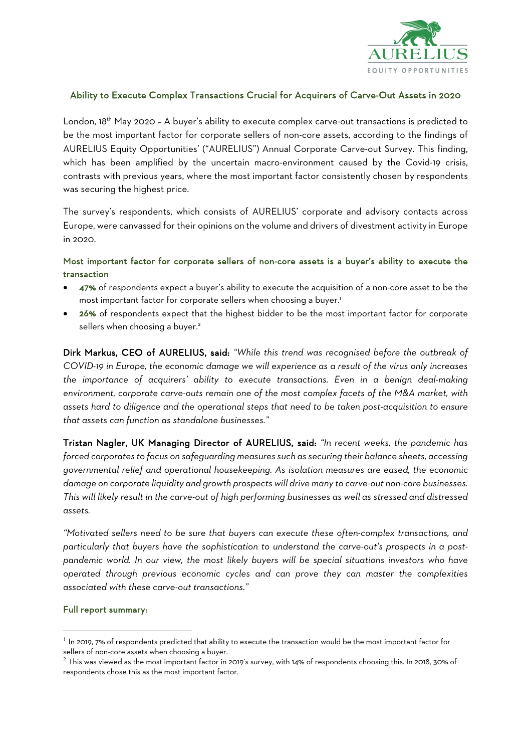

#### Ability to Execute Complex Transactions Crucial for Acquirers of Carve-Out Assets in 2020

London, 18<sup>th</sup> May 2020 - A buyer's ability to execute complex carve-out transactions is predicted to be the most important factor for corporate sellers of non-core assets, according to the findings of AURELIUS Equity Opportunities' ("AURELIUS") Annual Corporate Carve-out Survey. This finding, which has been amplified by the uncertain macro-environment caused by the Covid-19 crisis, contrasts with previous years, where the most important factor consistently chosen by respondents was securing the highest price.

The survey's respondents, which consists of AURELIUS' corporate and advisory contacts across Europe, were canvassed for their opinions on the volume and drivers of divestment activity in Europe in 2020.

## Most important factor for corporate sellers of non-core assets is a buyer's ability to execute the transaction

- 47% of respondents expect a buyer's ability to execute the acquisition of a non-core asset to be the most important factor for corporate sellers when choosing a buyer. 1
- 26% of respondents expect that the highest bidder to be the most important factor for corporate sellers when choosing a buyer.<sup>2</sup>

Dirk Markus, CEO of AURELIUS, said: *"While this trend was recognised before the outbreak of COVID-19 in Europe, the economic damage we will experience as a result of the virus only increases the importance of acquirers' ability to execute transactions. Even in a benign deal-making environment, corporate carve-outs remain one of the most complex facets of the M&A market, with assets hard to diligence and the operational steps that need to be taken post-acquisition to ensure that assets can function as standalone businesses."* 

Tristan Nagler, UK Managing Director of AURELIUS, said: *"In recent weeks, the pandemic has forced corporates to focus on safeguarding measures such as securing their balance sheets, accessing governmental relief and operational housekeeping. As isolation measures are eased, the economic damage on corporate liquidity and growth prospects will drive many to carve-out non-core businesses. This will likely result in the carve-out of high performing businesses as well as stressed and distressed assets.* 

*"Motivated sellers need to be sure that buyers can execute these often-complex transactions, and particularly that buyers have the sophistication to understand the carve-out's prospects in a postpandemic world. In our view, the most likely buyers will be special situations investors who have operated through previous economic cycles and can prove they can master the complexities associated with these carve-out transactions."*

#### Full report summary:

 $^{\rm 1}$  In 2019, 7% of respondents predicted that ability to execute the transaction would be the most important factor for sellers of non-core assets when choosing a buyer.

<sup>&</sup>lt;sup>2</sup> This was viewed as the most important factor in 2019's survey, with 14% of respondents choosing this. In 2018, 30% of respondents chose this as the most important factor.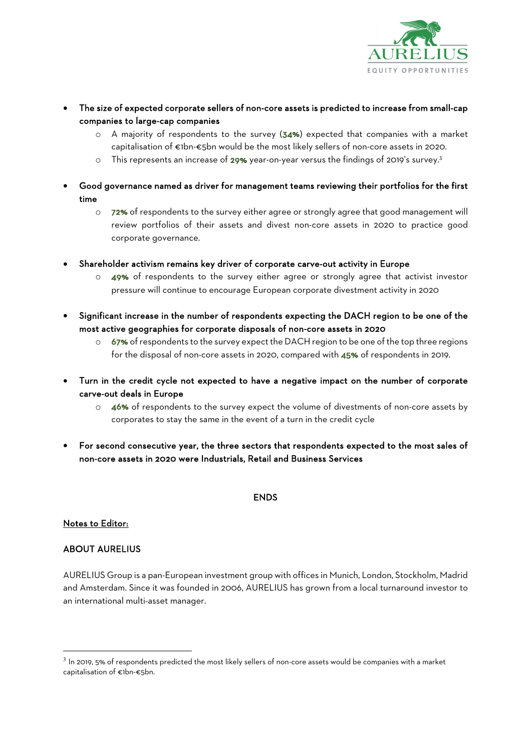

- The size of expected corporate sellers of non-core assets is predicted to increase from small-cap companies to large-cap companies
	- o A majority of respondents to the survey (34%) expected that companies with a market capitalisation of €1bn-€5bn would be the most likely sellers of non-core assets in 2020.
	- o This represents an increase of 29% year-on-year versus the findings of 2019's survey.3
- Good governance named as driver for management teams reviewing their portfolios for the first time
	- o 72% of respondents to the survey either agree or strongly agree that good management will review portfolios of their assets and divest non-core assets in 2020 to practice good corporate governance.
- Shareholder activism remains key driver of corporate carve-out activity in Europe
	- o 49% of respondents to the survey either agree or strongly agree that activist investor pressure will continue to encourage European corporate divestment activity in 2020
- Significant increase in the number of respondents expecting the DACH region to be one of the most active geographies for corporate disposals of non-core assets in 2020
	- o 67% of respondents to the survey expect the DACH region to be one of the top three regions for the disposal of non-core assets in 2020, compared with 45% of respondents in 2019.
- Turn in the credit cycle not expected to have a negative impact on the number of corporate carve-out deals in Europe
	- o 46% of respondents to the survey expect the volume of divestments of non-core assets by corporates to stay the same in the event of a turn in the credit cycle
- For second consecutive year, the three sectors that respondents expected to the most sales of non-core assets in 2020 were Industrials, Retail and Business Services

### **ENDS**

#### Notes to Editor:

### ABOUT AURELIUS

AURELIUS Group is a pan-European investment group with offices in Munich, London, Stockholm, Madrid and Amsterdam. Since it was founded in 2006, AURELIUS has grown from a local turnaround investor to an international multi-asset manager.

 $3$  In 2019, 5% of respondents predicted the most likely sellers of non-core assets would be companies with a market capitalisation of €1bn-€5bn.